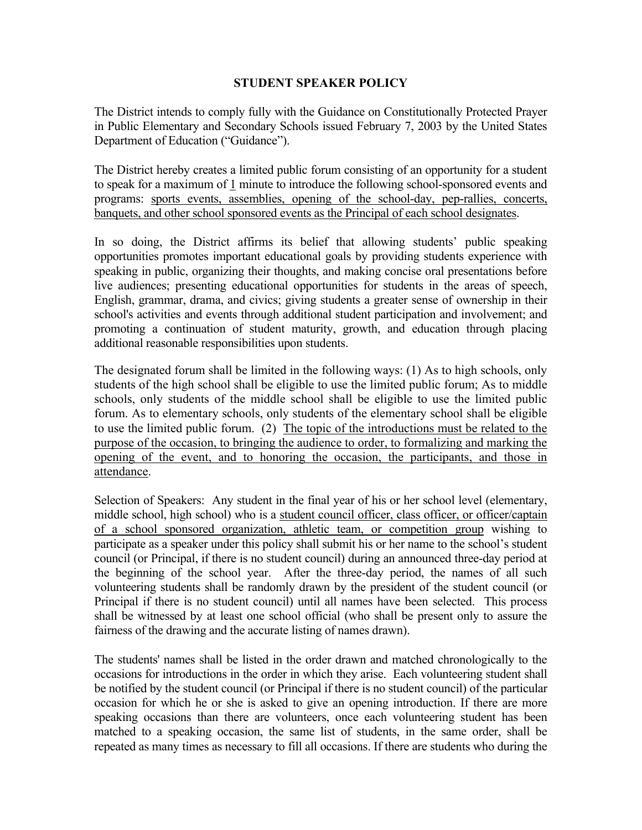## **STUDENT SPEAKER POLICY**

The District intends to comply fully with the Guidance on Constitutionally Protected Prayer in Public Elementary and Secondary Schools issued February 7, 2003 by the United States Department of Education ("Guidance").

The District hereby creates a limited public forum consisting of an opportunity for a student to speak for a maximum of 1 minute to introduce the following school-sponsored events and programs: sports events, assemblies, opening of the school-day, pep-rallies, concerts, banquets, and other school sponsored events as the Principal of each school designates.

In so doing, the District affirms its belief that allowing students' public speaking opportunities promotes important educational goals by providing students experience with speaking in public, organizing their thoughts, and making concise oral presentations before live audiences; presenting educational opportunities for students in the areas of speech, English, grammar, drama, and civics; giving students a greater sense of ownership in their school's activities and events through additional student participation and involvement; and promoting a continuation of student maturity, growth, and education through placing additional reasonable responsibilities upon students.

The designated forum shall be limited in the following ways: (1) As to high schools, only students of the high school shall be eligible to use the limited public forum; As to middle schools, only students of the middle school shall be eligible to use the limited public forum. As to elementary schools, only students of the elementary school shall be eligible to use the limited public forum. (2) The topic of the introductions must be related to the purpose of the occasion, to bringing the audience to order, to formalizing and marking the opening of the event, and to honoring the occasion, the participants, and those in attendance.

Selection of Speakers: Any student in the final year of his or her school level (elementary, middle school, high school) who is a student council officer, class officer, or officer/captain of a school sponsored organization, athletic team, or competition group wishing to participate as a speaker under this policy shall submit his or her name to the school's student council (or Principal, if there is no student council) during an announced three-day period at the beginning of the school year. After the three-day period, the names of all such volunteering students shall be randomly drawn by the president of the student council (or Principal if there is no student council) until all names have been selected. This process shall be witnessed by at least one school official (who shall be present only to assure the fairness of the drawing and the accurate listing of names drawn).

The students' names shall be listed in the order drawn and matched chronologically to the occasions for introductions in the order in which they arise. Each volunteering student shall be notified by the student council (or Principal if there is no student council) of the particular occasion for which he or she is asked to give an opening introduction. If there are more speaking occasions than there are volunteers, once each volunteering student has been matched to a speaking occasion, the same list of students, in the same order, shall be repeated as many times as necessary to fill all occasions. If there are students who during the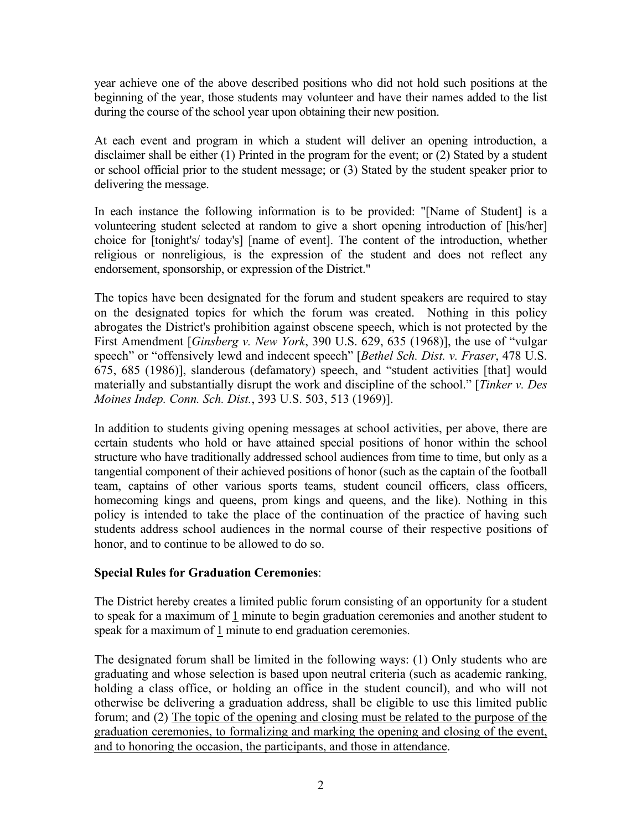year achieve one of the above described positions who did not hold such positions at the beginning of the year, those students may volunteer and have their names added to the list during the course of the school year upon obtaining their new position.

At each event and program in which a student will deliver an opening introduction, a disclaimer shall be either (1) Printed in the program for the event; or (2) Stated by a student or school official prior to the student message; or (3) Stated by the student speaker prior to delivering the message.

In each instance the following information is to be provided: "[Name of Student] is a volunteering student selected at random to give a short opening introduction of [his/her] choice for [tonight's/ today's] [name of event]. The content of the introduction, whether religious or nonreligious, is the expression of the student and does not reflect any endorsement, sponsorship, or expression of the District."

The topics have been designated for the forum and student speakers are required to stay on the designated topics for which the forum was created. Nothing in this policy abrogates the District's prohibition against obscene speech, which is not protected by the First Amendment [*Ginsberg v. New York*, 390 U.S. 629, 635 (1968)], the use of "vulgar speech" or "offensively lewd and indecent speech" [*Bethel Sch. Dist. v. Fraser*, 478 U.S. 675, 685 (1986)], slanderous (defamatory) speech, and "student activities [that] would materially and substantially disrupt the work and discipline of the school." [*Tinker v. Des Moines Indep. Conn. Sch. Dist.*, 393 U.S. 503, 513 (1969)].

In addition to students giving opening messages at school activities, per above, there are certain students who hold or have attained special positions of honor within the school structure who have traditionally addressed school audiences from time to time, but only as a tangential component of their achieved positions of honor (such as the captain of the football team, captains of other various sports teams, student council officers, class officers, homecoming kings and queens, prom kings and queens, and the like). Nothing in this policy is intended to take the place of the continuation of the practice of having such students address school audiences in the normal course of their respective positions of honor, and to continue to be allowed to do so.

## **Special Rules for Graduation Ceremonies**:

The District hereby creates a limited public forum consisting of an opportunity for a student to speak for a maximum of 1 minute to begin graduation ceremonies and another student to speak for a maximum of 1 minute to end graduation ceremonies.

The designated forum shall be limited in the following ways: (1) Only students who are graduating and whose selection is based upon neutral criteria (such as academic ranking, holding a class office, or holding an office in the student council), and who will not otherwise be delivering a graduation address, shall be eligible to use this limited public forum; and (2) The topic of the opening and closing must be related to the purpose of the graduation ceremonies, to formalizing and marking the opening and closing of the event, and to honoring the occasion, the participants, and those in attendance.